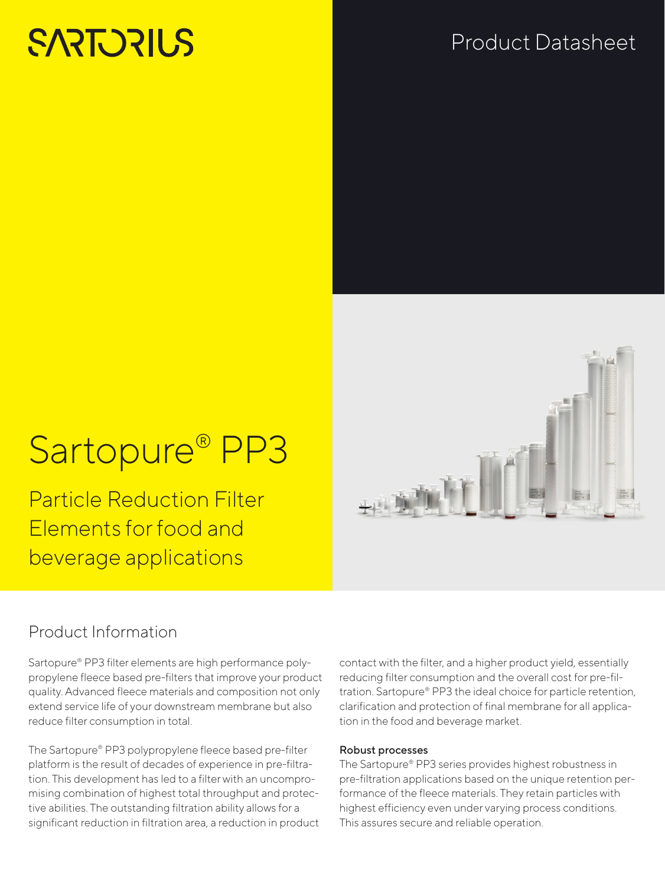# **SARTORIUS**

# Product Datasheet



# Sartopure® PP3

Particle Reduction Filter Elements for food and beverage applications

# Product Information

Sartopure® PP3 filter elements are high performance polypropylene fleece based pre-filters that improve your product quality. Advanced fleece materials and composition not only extend service life of your downstream membrane but also reduce filter consumption in total.

The Sartopure® PP3 polypropylene fleece based pre-filter platform is the result of decades of experience in pre-filtration. This development has led to a filter with an uncompromising combination of highest total throughput and protective abilities. The outstanding filtration ability allows for a significant reduction in filtration area, a reduction in product contact with the filter, and a higher product yield, essentially reducing filter consumption and the overall cost for pre-filtration. Sartopure® PP3 the ideal choice for particle retention, clarification and protection of final membrane for all application in the food and beverage market.

# Robust processes

The Sartopure® PP3 series provides highest robustness in pre-filtration applications based on the unique retention performance of the fleece materials. They retain particles with highest efficiency even under varying process conditions. This assures secure and reliable operation.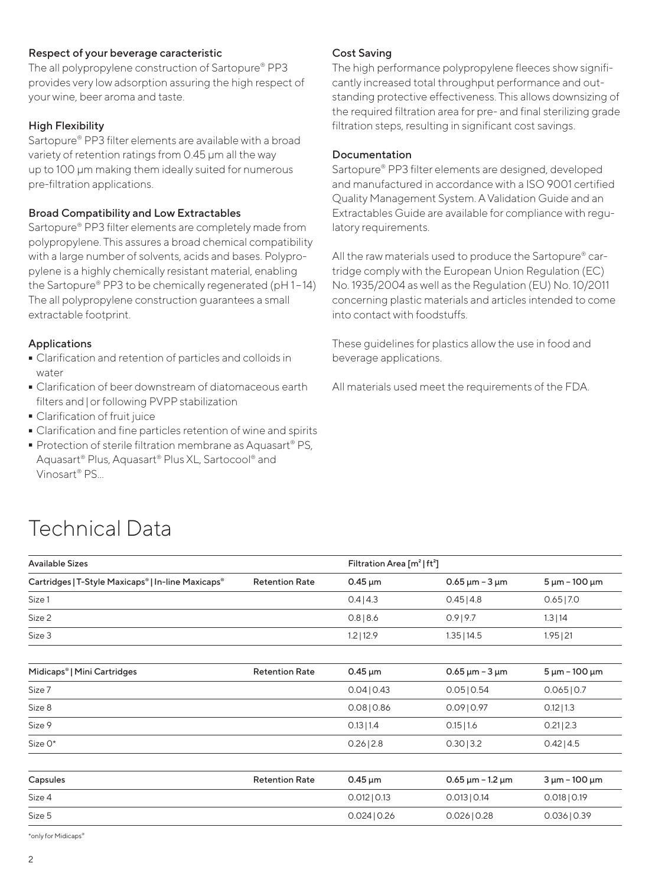# Respect of your beverage caracteristic

The all polypropylene construction of Sartopure® PP3 provides very low adsorption assuring the high respect of your wine, beer aroma and taste.

# High Flexibility

Sartopure® PP3 filter elements are available with a broad variety of retention ratings from 0.45 μm all the way up to 100 μm making them ideally suited for numerous pre-filtration applications.

# Broad Compatibility and Low Extractables

Sartopure® PP3 filter elements are completely made from polypropylene. This assures a broad chemical compatibility with a large number of solvents, acids and bases. Polypropylene is a highly chemically resistant material, enabling the Sartopure® PP3 to be chemically regenerated (pH 1-14) The all polypropylene construction guarantees a small extractable footprint.

# Applications

- Clarification and retention of particles and colloids in water
- Clarification of beer downstream of diatomaceous earth<br>filters and | or following PVPP stabilization<br>- Clarification of fruit juice filters and|or following PVPP stabilization
- 
- Clarification and fine particles retention of wine and spirits
- Clarification and fine particles retention of wine and spirits<br>■ Protection of sterile filtration membrane as Aquasart® PS, ■ Protection of sterile filtration membrane as Aquasart® PS,<br>Aquasart® Plus, Aquasart® Plus XL, Sartocool® and Aquasart® Plus, Aquasart® Plus XL, Sartocool® and Vinosart® PS...

# Cost Saving

The high performance polypropylene fleeces show significantly increased total throughput performance and outstanding protective effectiveness. This allows downsizing of the required filtration area for pre- and final sterilizing grade filtration steps, resulting in significant cost savings.

# Documentation

Sartopure® PP3 filter elements are designed, developed and manufactured in accordance with a ISO 9001 certified Quality Management System. A Validation Guide and an Extractables Guide are available for compliance with regulatory requirements.

All the raw materials used to produce the Sartopure® cartridge comply with the European Union Regulation (EC) No. 1935/2004 as well as the Regulation (EU) No. 10/2011 concerning plastic materials and articles intended to come into contact with foodstuffs.

These guidelines for plastics allow the use in food and beverage applications.

All materials used meet the requirements of the FDA.

# Technical Data

| <b>Available Sizes</b>                             |                       |                           | Filtration Area $[m^2]$ ft <sup>2</sup> ]            |                       |  |
|----------------------------------------------------|-----------------------|---------------------------|------------------------------------------------------|-----------------------|--|
| Cartridges   T-Style Maxicaps®   In-line Maxicaps® | <b>Retention Rate</b> | $0.45 \,\mathrm{\upmu m}$ | $0.65 \,\mathrm{\upmu m}$ – 3 $\mathrm{\upmu m}$     | $5 \mu m - 100 \mu m$ |  |
| Size 1                                             |                       | 0.4 4.3                   | 0.45 4.8                                             | $0.65$  7.0           |  |
| Size 2                                             |                       | 0.8 8.6                   | $0.9$   9.7                                          | 1.3 14                |  |
| Size 3                                             |                       | $1.2$   12.9              | 1.35 14.5                                            | $1.95$   21           |  |
| Midicaps <sup>®</sup>   Mini Cartridges            | <b>Retention Rate</b> | $0.45 \,\mathrm{\upmu m}$ | $0.65 \,\mathrm{\upmu m}$ – 3 $\mathrm{\upmu m}$     | $5 \mu m - 100 \mu m$ |  |
| Size 7                                             |                       | 0.04 0.43                 | 0.05 0.54                                            | 0.065 0.7             |  |
| Size 8                                             |                       | $0.08$   0.86             | 0.09 0.97                                            | $0.12$   1.3          |  |
| Size 9                                             |                       | $0.13$  1.4               | $0.15$  1.6                                          | $0.21$   2.3          |  |
| Size O*                                            |                       | $0.26$   2.8              | $0.30$   3.2                                         | $0.42$   4.5          |  |
| Capsules                                           | <b>Retention Rate</b> | $0.45 \mu m$              | $0.65 \,\mathrm{\upmu m}$ – 1.2 $\,\mathrm{\upmu m}$ | $3 \mu m - 100 \mu m$ |  |
| Size 4                                             |                       | 0.012   0.13              | 0.013   0.14                                         | $0.018$   0.19        |  |
| Size 5                                             |                       | $0.024$   0.26            | $0.026$   0.28                                       | 0.036   0.39          |  |

\*only for Midicaps®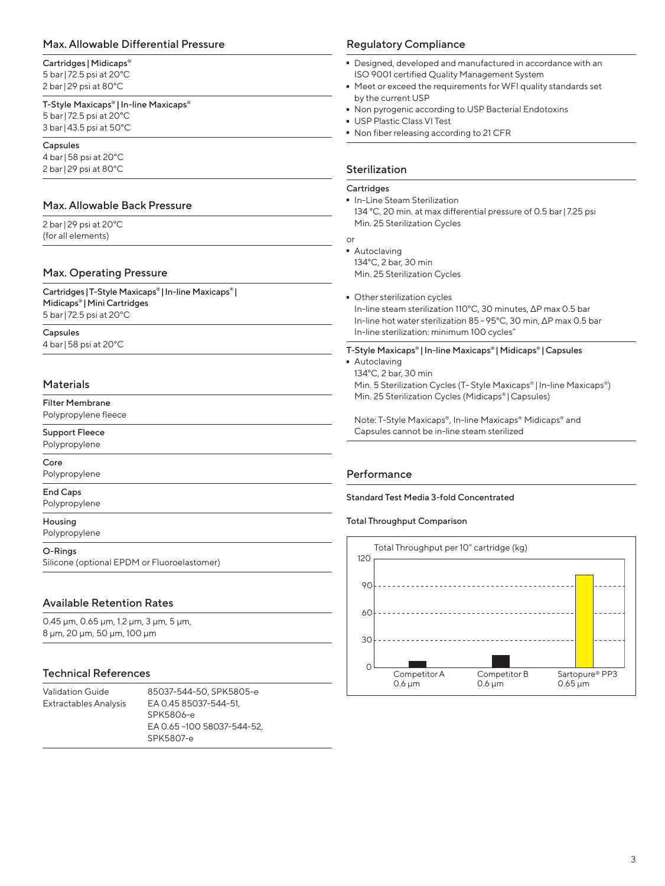# Max. Allowable Differential Pressure

## Cartridges | Midicaps®

5 bar| 72.5 psi at 20°C 2 bar|29 psi at 80°C

#### T-Style Maxicaps® | In-line Maxicaps®

5 bar| 72.5 psi at 20°C 3 bar|43.5 psi at 50°C

#### Capsules

4 bar|58 psi at 20°C 2 bar|29 psi at 80°C

# Max. Allowable Back Pressure

2 bar|29 psi at 20°C (for all elements)

# Max. Operating Pressure

Cartridges|T-Style Maxicaps® |In-line Maxicaps® | Midicaps® |Mini Cartridges 5 bar| 72.5 psi at 20°C

Capsules 4 bar|58 psi at 20°C

## Materials

Filter Membrane Polypropylene fleece

Support Fleece

Polypropylene Core

Polypropylene

#### End Caps

Polypropylene

#### Housing

Polypropylene

#### O-Rings

Silicone (optional EPDM or Fluoroelastomer)

# Available Retention Rates

0.45 μm, 0.65 μm, 1.2 μm, 3 μm, 5 μm, 8 μm, 20 μm, 50 μm, 100 μm

# Technical References

| Validation Guide             | 85037-544-50, SPK5805-e    |
|------------------------------|----------------------------|
| <b>Extractables Analysis</b> | EA 0.45 85037-544-51.      |
|                              | SPK5806-e                  |
|                              | EA 0.65 -100 58037-544-52. |
|                              | SPK5807-e                  |

## Regulatory Compliance

- Designed, developed and manufactured in accordance with an ISO 9001 certified Quality Management System
- Meet or exceed the requirements for WFI quality standards set by the current USP
- Non pyrogenic according to USP Bacterial Endotoxins<br>- USP Plastic Class VI Test
- 
- USP Plastic Class VI Test<br>■ Non fiber releasing acco - Non fiber releasing according to 21 CFR

## Sterilization

#### **Cartridges**

- In-Line Steam Sterilization 134 °C, 20 min. at max differential pressure of 0.5 bar| 7.25 psi Min. 25 Sterilization Cycles
- or
- Autoclaving 134°C, 2 bar, 30 min Min. 25 Sterilization Cycles
- Other sterilization cycles In-line steam sterilization 110°C, 30 minutes, ΔP max 0.5 bar In-line hot water sterilization 85–95°C, 30 min, ΔP max 0.5 bar

In-line sterilization: minimum 100 cycles"

- T-Style Maxicaps® | In-line Maxicaps® | Midicaps® | Capsules
- 
- Autoclaving 134°C, 2 bar, 30 min

Min. 5 Sterilization Cycles (T- Style Maxicaps® | In-line Maxicaps®) Min. 25 Sterilization Cycles (Midicaps® |Capsules)

Note: T-Style Maxicaps®, In-line Maxicaps® Midicaps® and Capsules cannot be in-line steam sterilized

# Performance

#### Standard Test Media 3-fold Concentrated

### Total Throughput Comparison

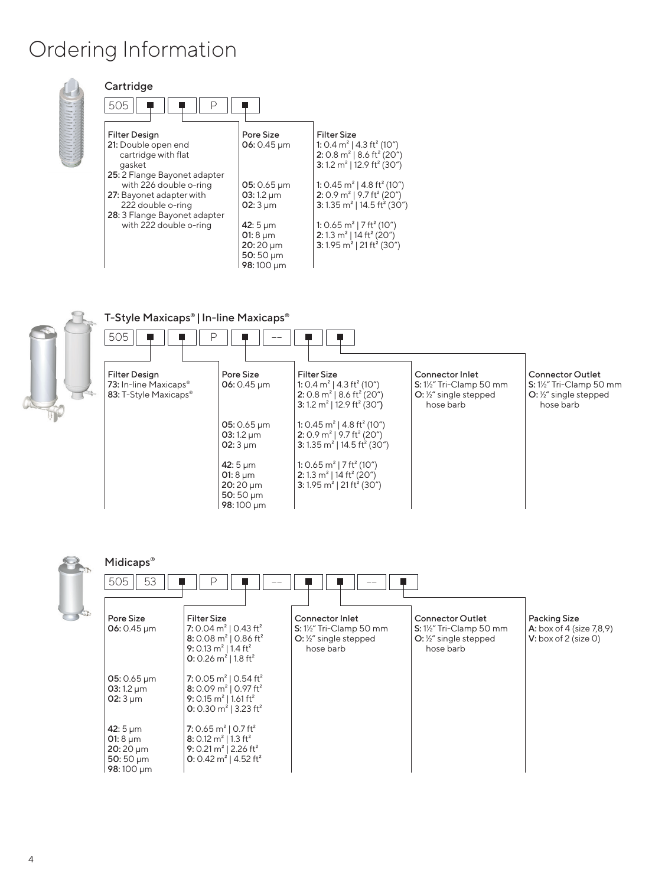# Ordering Information



| Cartridge                                     |                                    |                                                                                                         |
|-----------------------------------------------|------------------------------------|---------------------------------------------------------------------------------------------------------|
| 505<br>D                                      |                                    |                                                                                                         |
| <b>Filter Design</b>                          | Pore Size                          | <b>Filter Size</b>                                                                                      |
| 21: Double open end                           | $06: 0.45 \mu m$                   | 1: 0.4 $m^2$   4.3 ft <sup>2</sup> (10")                                                                |
| cartridge with flat                           |                                    | 2: 0.8 $m^2$   8.6 ft <sup>2</sup> (20")                                                                |
| gasket                                        |                                    | 3: 1.2 m <sup>2</sup>   12.9 ft <sup>2</sup> (30")                                                      |
| 25: 2 Flange Bayonet adapter                  |                                    |                                                                                                         |
| with 226 double o-ring                        | $05: 0.65 \mu m$<br>$03:1.2 \mu m$ | 1: 0.45 m <sup>2</sup>   4.8 ft <sup>2</sup> (10")<br>2: 0.9 m <sup>2</sup>   9.7 ft <sup>2</sup> (20") |
| 27: Bayonet adapter with<br>222 double o-ring | $02:3 \mu m$                       | 3: 1.35 m <sup>2</sup>   14.5 ft <sup>2</sup> (30")                                                     |
| 28: 3 Flange Bayonet adapter                  |                                    |                                                                                                         |
| with 222 double o-ring                        | 42: $5 \mu m$                      | 1: 0.65 $m^2$   7 ft <sup>2</sup> (10")                                                                 |
|                                               | 01: $8 \mu m$                      | 2: 1.3 m <sup>2</sup>   14 ft <sup>2</sup> (20")                                                        |
|                                               | $20:20 \mu m$                      | 3:1.95 m <sup>2</sup>   21 ft <sup>2</sup> (30")                                                        |
|                                               | $50:50 \mu m$                      |                                                                                                         |
|                                               | 98:100 µm                          |                                                                                                         |



# T-Style Maxicaps® | In-line Maxicaps®





# $Midi$

| <b>Prigicaps</b>                                                             |                                                                                                                                                                                  |                                                                                                  |                                                                                                              |                                                                              |
|------------------------------------------------------------------------------|----------------------------------------------------------------------------------------------------------------------------------------------------------------------------------|--------------------------------------------------------------------------------------------------|--------------------------------------------------------------------------------------------------------------|------------------------------------------------------------------------------|
| 53<br>505                                                                    |                                                                                                                                                                                  |                                                                                                  |                                                                                                              |                                                                              |
| Pore Size<br>$06: 0.45 \,\mathrm{\upmu m}$                                   | <b>Filter Size</b><br>7: 0.04 $m^2$   0.43 ft <sup>2</sup><br>8: 0.08 $m^2$   0.86 ft <sup>2</sup><br>9: 0.13 $m^2$   1.4 ft <sup>2</sup><br>0: 0.26 $m^2$   1.8 ft <sup>2</sup> | <b>Connector Inlet</b><br>S: 1½" Tri-Clamp 50 mm<br>$O: \frac{1}{2}$ single stepped<br>hose barb | <b>Connector Outlet</b><br>$S: 1\frac{1}{2}$ Tri-Clamp 50 mm<br>$O: \frac{1}{2}$ single stepped<br>hose barb | <b>Packing Size</b><br>A: box of 4 (size 7,8,9)<br>V: box of $2$ (size $0$ ) |
| $05:0.65 \,\mu m$<br>03:1.2 $\mu$ m<br>02: $3 \mu m$                         | 7: 0.05 $m^2$   0.54 ft <sup>2</sup><br>8: 0.09 $m^2$   0.97 ft <sup>2</sup><br>9: 0.15 $m^2$   1.61 ft <sup>2</sup><br>0: 0.30 $m^2$   3.23 ft <sup>2</sup>                     |                                                                                                  |                                                                                                              |                                                                              |
| 42: $5 \mu m$<br>01:8 $\mu$ m<br>$20:20 \mu m$<br>50:50 $\mu$ m<br>98:100 µm | 7: 0.65 $m^2$   0.7 ft <sup>2</sup><br>8: 0.12 $m^2$   1.3 ft <sup>2</sup><br>9: 0.21 m <sup>2</sup>   2.26 ft <sup>2</sup><br>0: 0.42 $m^2$   4.52 ft <sup>2</sup>              |                                                                                                  |                                                                                                              |                                                                              |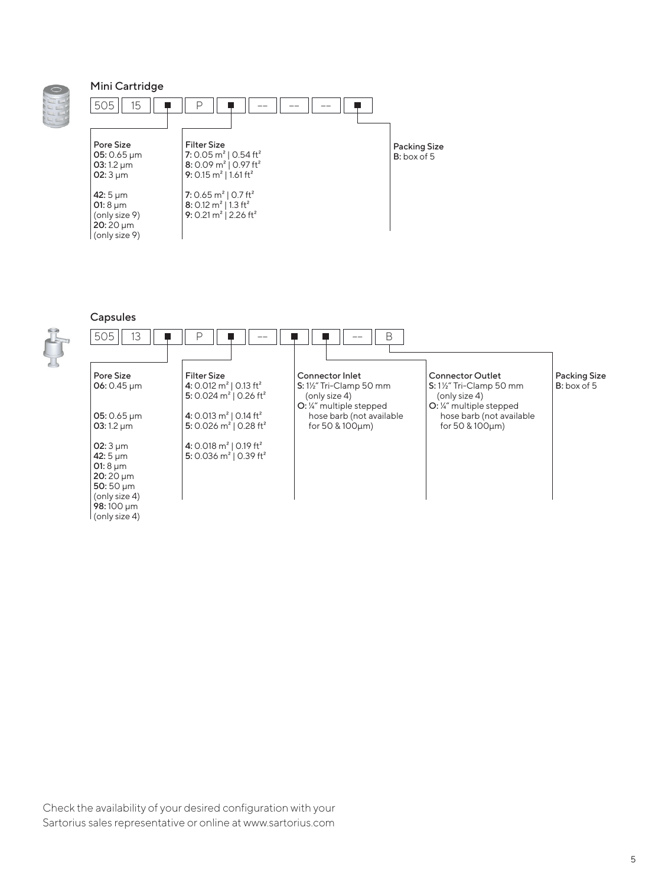# Mini Cartridge



# Capsules



| 505<br>13                                                                                         | D                                                                                                    | B                                                                                                                   |                                                                                                         |                                    |
|---------------------------------------------------------------------------------------------------|------------------------------------------------------------------------------------------------------|---------------------------------------------------------------------------------------------------------------------|---------------------------------------------------------------------------------------------------------|------------------------------------|
| Pore Size<br>06: $0.45 \mu m$                                                                     | <b>Filter Size</b><br>4: 0.012 $m^2$   0.13 ft <sup>2</sup><br>5: 0.024 $m^2$   0.26 ft <sup>2</sup> | <b>Connector Inlet</b><br>$S: 1\frac{1}{2}$ Tri-Clamp 50 mm<br>(only size 4)<br>$Q:$ $\frac{1}{4}$ multiple stepped | <b>Connector Outlet</b><br>$S: 1\frac{1}{2}$ Tri-Clamp 50 mm<br>(only size 4)<br>O: ¼" multiple stepped | <b>Packing Size</b><br>B: box of 5 |
| $05: 0.65 \,\mathrm{\upmu m}$<br>03:1.2 $\mu$ m                                                   | 4: 0.013 $m^2$   0.14 ft <sup>2</sup><br>5: 0.026 $m^2$   0.28 ft <sup>2</sup>                       | hose barb (not available<br>for 50 & 100µm)                                                                         | hose barb (not available<br>for 50 & 100um)                                                             |                                    |
| 02: $3 \mu m$<br>42: $5 \mu m$<br>01:8 $\mu$ m<br>$20:20 \mu m$<br>50:50 $\mu$ m<br>(only size 4) | 4: 0.018 $m^2$   0.19 ft <sup>2</sup><br>5: 0.036 $m^2$   0.39 ft <sup>2</sup>                       |                                                                                                                     |                                                                                                         |                                    |
| 98:100 um<br>(only size 4)                                                                        |                                                                                                      |                                                                                                                     |                                                                                                         |                                    |

Check the availability of your desired configuration with your Sartorius sales representative or online at www.sartorius.com